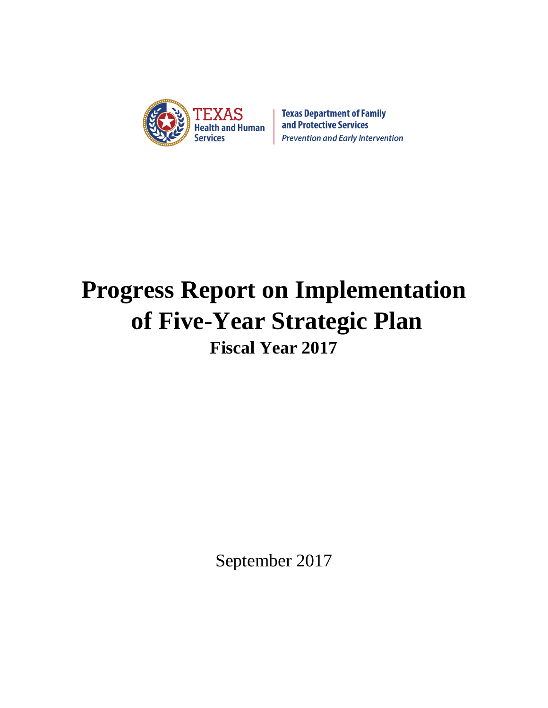

**Texas Department of Family** and Protective Services **Prevention and Early Intervention** 

# **Progress Report on Implementation of Five-Year Strategic Plan Fiscal Year 2017**

September 2017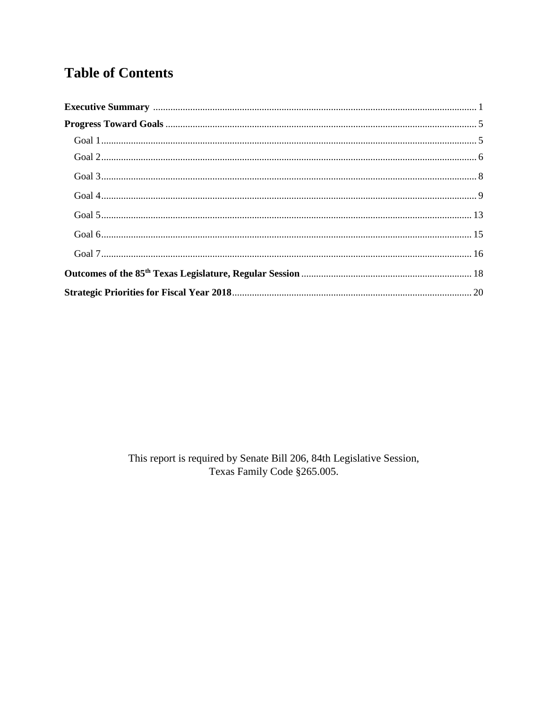# **Table of Contents**

This report is required by Senate Bill 206, 84th Legislative Session, Texas Family Code §265.005.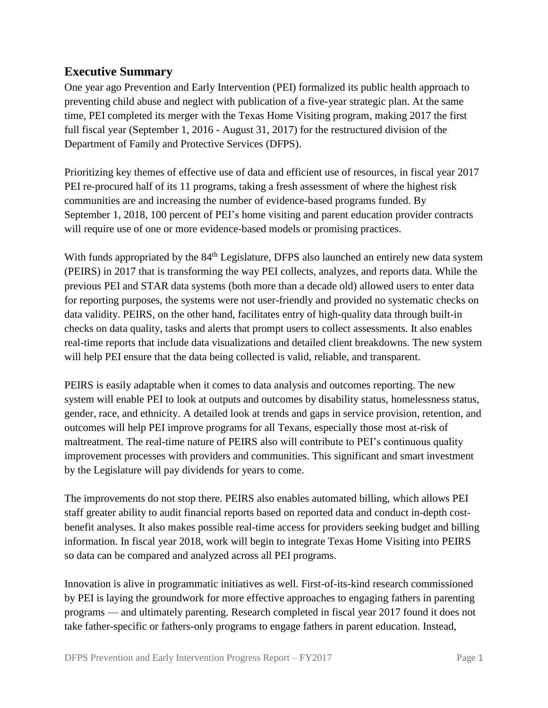# **Executive Summary**

One year ago Prevention and Early Intervention (PEI) formalized its public health approach to preventing child abuse and neglect with publication of a five-year strategic plan. At the same time, PEI completed its merger with the Texas Home Visiting program, making 2017 the first full fiscal year (September 1, 2016 - August 31, 2017) for the restructured division of the Department of Family and Protective Services (DFPS).

Prioritizing key themes of effective use of data and efficient use of resources, in fiscal year 2017 PEI re-procured half of its 11 programs, taking a fresh assessment of where the highest risk communities are and increasing the number of evidence-based programs funded. By September 1, 2018, 100 percent of PEI's home visiting and parent education provider contracts will require use of one or more evidence-based models or promising practices.

With funds appropriated by the 84<sup>th</sup> Legislature, DFPS also launched an entirely new data system (PEIRS) in 2017 that is transforming the way PEI collects, analyzes, and reports data. While the previous PEI and STAR data systems (both more than a decade old) allowed users to enter data for reporting purposes, the systems were not user-friendly and provided no systematic checks on data validity. PEIRS, on the other hand, facilitates entry of high-quality data through built-in checks on data quality, tasks and alerts that prompt users to collect assessments. It also enables real-time reports that include data visualizations and detailed client breakdowns. The new system will help PEI ensure that the data being collected is valid, reliable, and transparent.

PEIRS is easily adaptable when it comes to data analysis and outcomes reporting. The new system will enable PEI to look at outputs and outcomes by disability status, homelessness status, gender, race, and ethnicity. A detailed look at trends and gaps in service provision, retention, and outcomes will help PEI improve programs for all Texans, especially those most at-risk of maltreatment. The real-time nature of PEIRS also will contribute to PEI's continuous quality improvement processes with providers and communities. This significant and smart investment by the Legislature will pay dividends for years to come.

The improvements do not stop there. PEIRS also enables automated billing, which allows PEI staff greater ability to audit financial reports based on reported data and conduct in-depth costbenefit analyses. It also makes possible real-time access for providers seeking budget and billing information. In fiscal year 2018, work will begin to integrate Texas Home Visiting into PEIRS so data can be compared and analyzed across all PEI programs.

Innovation is alive in programmatic initiatives as well. First-of-its-kind research commissioned by PEI is laying the groundwork for more effective approaches to engaging fathers in parenting programs — and ultimately parenting. Research completed in fiscal year 2017 found it does not take father-specific or fathers-only programs to engage fathers in parent education. Instead,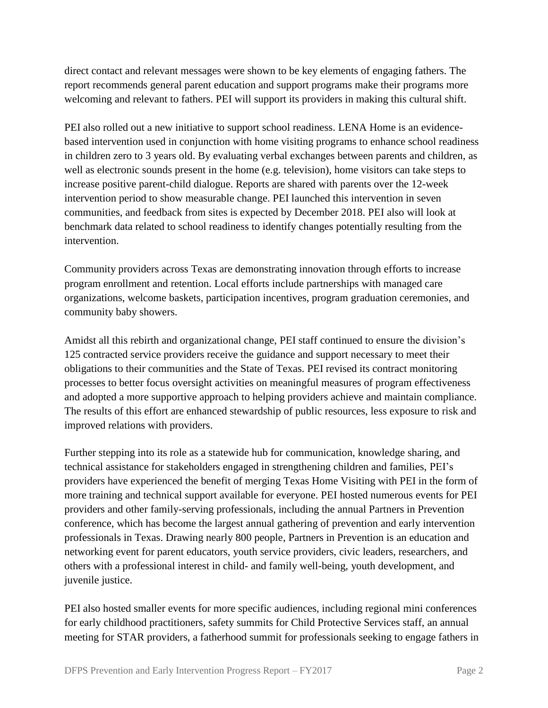direct contact and relevant messages were shown to be key elements of engaging fathers. The report recommends general parent education and support programs make their programs more welcoming and relevant to fathers. PEI will support its providers in making this cultural shift.

PEI also rolled out a new initiative to support school readiness. LENA Home is an evidencebased intervention used in conjunction with home visiting programs to enhance school readiness in children zero to 3 years old. By evaluating verbal exchanges between parents and children, as well as electronic sounds present in the home (e.g. television), home visitors can take steps to increase positive parent-child dialogue. Reports are shared with parents over the 12-week intervention period to show measurable change. PEI launched this intervention in seven communities, and feedback from sites is expected by December 2018. PEI also will look at benchmark data related to school readiness to identify changes potentially resulting from the intervention.

Community providers across Texas are demonstrating innovation through efforts to increase program enrollment and retention. Local efforts include partnerships with managed care organizations, welcome baskets, participation incentives, program graduation ceremonies, and community baby showers.

Amidst all this rebirth and organizational change, PEI staff continued to ensure the division's 125 contracted service providers receive the guidance and support necessary to meet their obligations to their communities and the State of Texas. PEI revised its contract monitoring processes to better focus oversight activities on meaningful measures of program effectiveness and adopted a more supportive approach to helping providers achieve and maintain compliance. The results of this effort are enhanced stewardship of public resources, less exposure to risk and improved relations with providers.

Further stepping into its role as a statewide hub for communication, knowledge sharing, and technical assistance for stakeholders engaged in strengthening children and families, PEI's providers have experienced the benefit of merging Texas Home Visiting with PEI in the form of more training and technical support available for everyone. PEI hosted numerous events for PEI providers and other family-serving professionals, including the annual Partners in Prevention conference, which has become the largest annual gathering of prevention and early intervention professionals in Texas. Drawing nearly 800 people, Partners in Prevention is an education and networking event for parent educators, youth service providers, civic leaders, researchers, and others with a professional interest in child- and family well-being, youth development, and juvenile justice.

PEI also hosted smaller events for more specific audiences, including regional mini conferences for early childhood practitioners, safety summits for Child Protective Services staff, an annual meeting for STAR providers, a fatherhood summit for professionals seeking to engage fathers in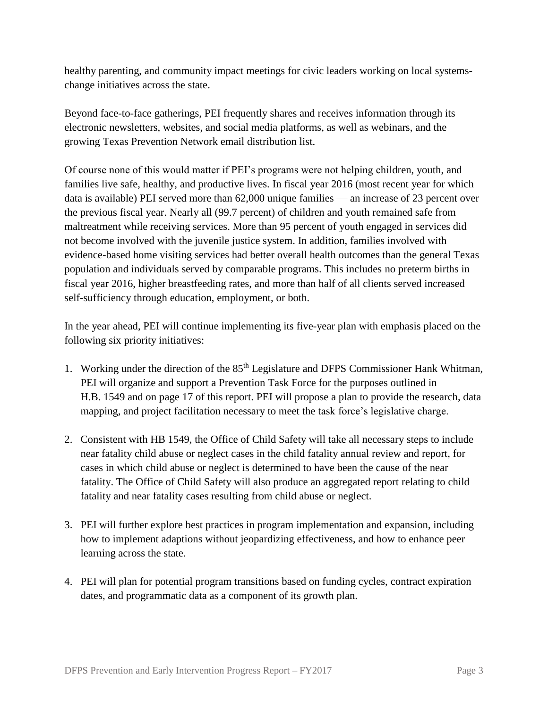healthy parenting, and community impact meetings for civic leaders working on local systemschange initiatives across the state.

Beyond face-to-face gatherings, PEI frequently shares and receives information through its electronic newsletters, websites, and social media platforms, as well as webinars, and the growing Texas Prevention Network email distribution list.

Of course none of this would matter if PEI's programs were not helping children, youth, and families live safe, healthy, and productive lives. In fiscal year 2016 (most recent year for which data is available) PEI served more than 62,000 unique families — an increase of 23 percent over the previous fiscal year. Nearly all (99.7 percent) of children and youth remained safe from maltreatment while receiving services. More than 95 percent of youth engaged in services did not become involved with the juvenile justice system. In addition, families involved with evidence-based home visiting services had better overall health outcomes than the general Texas population and individuals served by comparable programs. This includes no preterm births in fiscal year 2016, higher breastfeeding rates, and more than half of all clients served increased self-sufficiency through education, employment, or both.

In the year ahead, PEI will continue implementing its five-year plan with emphasis placed on the following six priority initiatives:

- 1. Working under the direction of the 85<sup>th</sup> Legislature and DFPS Commissioner Hank Whitman, PEI will organize and support a Prevention Task Force for the purposes outlined in H.B. 1549 and on page 17 of this report. PEI will propose a plan to provide the research, data mapping, and project facilitation necessary to meet the task force's legislative charge.
- 2. Consistent with HB 1549, the Office of Child Safety will take all necessary steps to include near fatality child abuse or neglect cases in the child fatality annual review and report, for cases in which child abuse or neglect is determined to have been the cause of the near fatality. The Office of Child Safety will also produce an aggregated report relating to child fatality and near fatality cases resulting from child abuse or neglect.
- 3. PEI will further explore best practices in program implementation and expansion, including how to implement adaptions without jeopardizing effectiveness, and how to enhance peer learning across the state.
- 4. PEI will plan for potential program transitions based on funding cycles, contract expiration dates, and programmatic data as a component of its growth plan.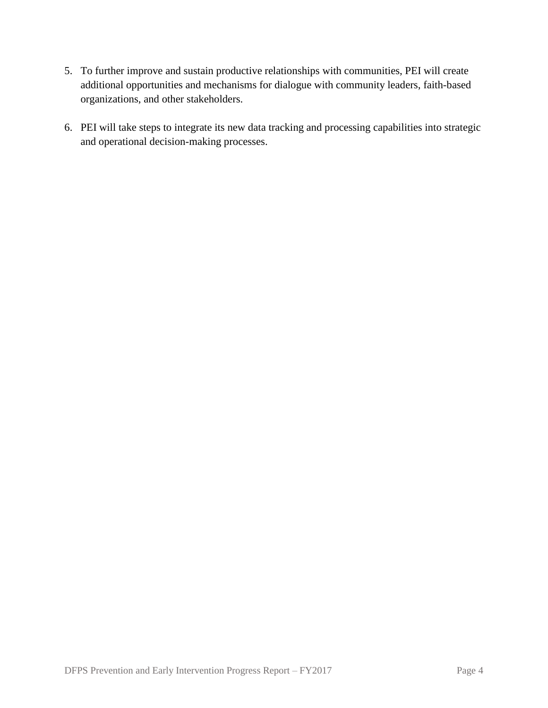- 5. To further improve and sustain productive relationships with communities, PEI will create additional opportunities and mechanisms for dialogue with community leaders, faith-based organizations, and other stakeholders.
- 6. PEI will take steps to integrate its new data tracking and processing capabilities into strategic and operational decision-making processes.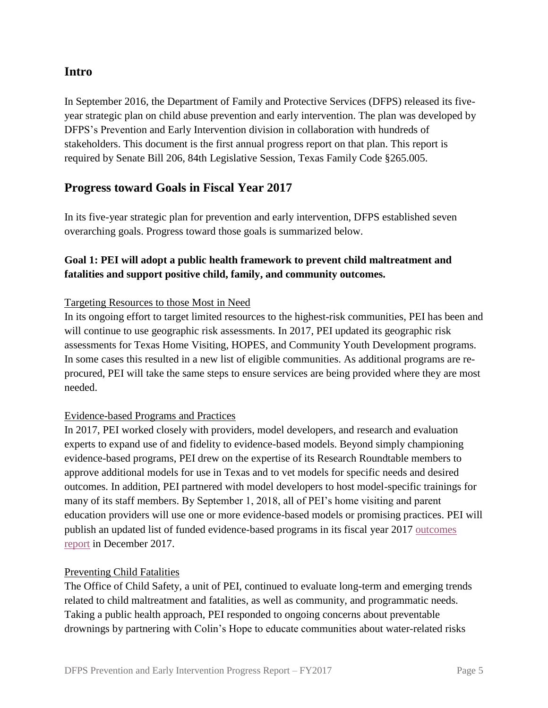# **Intro**

In September 2016, the Department of Family and Protective Services (DFPS) released its fiveyear strategic plan on child abuse prevention and early intervention. The plan was developed by DFPS's Prevention and Early Intervention division in collaboration with hundreds of stakeholders. This document is the first annual progress report on that plan. This report is required by Senate Bill 206, 84th Legislative Session, Texas Family Code §265.005.

# **Progress toward Goals in Fiscal Year 2017**

In its five-year strategic plan for prevention and early intervention, DFPS established seven overarching goals. Progress toward those goals is summarized below.

# **Goal 1: PEI will adopt a public health framework to prevent child maltreatment and fatalities and support positive child, family, and community outcomes.**

#### Targeting Resources to those Most in Need

In its ongoing effort to target limited resources to the highest-risk communities, PEI has been and will continue to use geographic risk assessments. In 2017, PEI updated its geographic risk assessments for Texas Home Visiting, HOPES, and Community Youth Development programs. In some cases this resulted in a new list of eligible communities. As additional programs are reprocured, PEI will take the same steps to ensure services are being provided where they are most needed.

#### Evidence-based Programs and Practices

In 2017, PEI worked closely with providers, model developers, and research and evaluation experts to expand use of and fidelity to evidence-based models. Beyond simply championing evidence-based programs, PEI drew on the expertise of its Research Roundtable members to approve additional models for use in Texas and to vet models for specific needs and desired outcomes. In addition, PEI partnered with model developers to host model-specific trainings for many of its staff members. By September 1, 2018, all of PEI's home visiting and parent education providers will use one or more evidence-based models or promising practices. PEI will publish an updated list of funded evidence-based programs in its fiscal year 2017 [outcomes](https://www.dfps.state.tx.us/Prevention_and_Early_Intervention/documents/Rider_38_Outcomes_Combined_Report.pdf)  [report](https://www.dfps.state.tx.us/Prevention_and_Early_Intervention/documents/Rider_38_Outcomes_Combined_Report.pdf) in December 2017.

#### Preventing Child Fatalities

The Office of Child Safety, a unit of PEI, continued to evaluate long-term and emerging trends related to child maltreatment and fatalities, as well as community, and programmatic needs. Taking a public health approach, PEI responded to ongoing concerns about preventable drownings by partnering with Colin's Hope to educate communities about water-related risks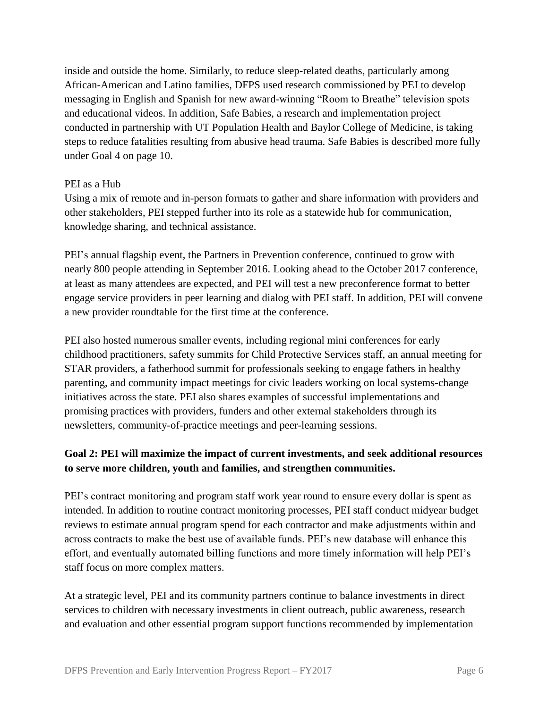inside and outside the home. Similarly, to reduce sleep-related deaths, particularly among African-American and Latino families, DFPS used research commissioned by PEI to develop messaging in English and Spanish for new award-winning "Room to Breathe" television spots and educational videos. In addition, Safe Babies, a research and implementation project conducted in partnership with UT Population Health and Baylor College of Medicine, is taking steps to reduce fatalities resulting from abusive head trauma. Safe Babies is described more fully under Goal 4 on page 10.

#### PEI as a Hub

Using a mix of remote and in-person formats to gather and share information with providers and other stakeholders, PEI stepped further into its role as a statewide hub for communication, knowledge sharing, and technical assistance.

PEI's annual flagship event, the Partners in Prevention conference, continued to grow with nearly 800 people attending in September 2016. Looking ahead to the October 2017 conference, at least as many attendees are expected, and PEI will test a new preconference format to better engage service providers in peer learning and dialog with PEI staff. In addition, PEI will convene a new provider roundtable for the first time at the conference.

PEI also hosted numerous smaller events, including regional mini conferences for early childhood practitioners, safety summits for Child Protective Services staff, an annual meeting for STAR providers, a fatherhood summit for professionals seeking to engage fathers in healthy parenting, and community impact meetings for civic leaders working on local systems-change initiatives across the state. PEI also shares examples of successful implementations and promising practices with providers, funders and other external stakeholders through its newsletters, community-of-practice meetings and peer-learning sessions.

# **Goal 2: PEI will maximize the impact of current investments, and seek additional resources to serve more children, youth and families, and strengthen communities.**

PEI's contract monitoring and program staff work year round to ensure every dollar is spent as intended. In addition to routine contract monitoring processes, PEI staff conduct midyear budget reviews to estimate annual program spend for each contractor and make adjustments within and across contracts to make the best use of available funds. PEI's new database will enhance this effort, and eventually automated billing functions and more timely information will help PEI's staff focus on more complex matters.

At a strategic level, PEI and its community partners continue to balance investments in direct services to children with necessary investments in client outreach, public awareness, research and evaluation and other essential program support functions recommended by implementation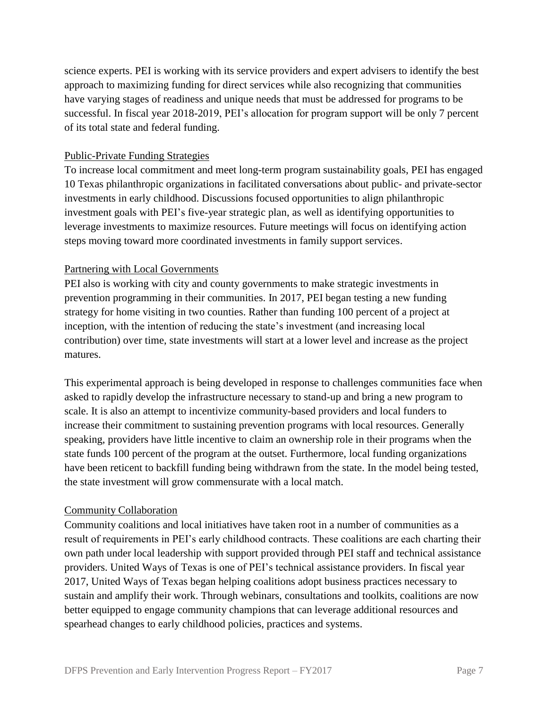science experts. PEI is working with its service providers and expert advisers to identify the best approach to maximizing funding for direct services while also recognizing that communities have varying stages of readiness and unique needs that must be addressed for programs to be successful. In fiscal year 2018-2019, PEI's allocation for program support will be only 7 percent of its total state and federal funding.

#### Public-Private Funding Strategies

To increase local commitment and meet long-term program sustainability goals, PEI has engaged 10 Texas philanthropic organizations in facilitated conversations about public- and private-sector investments in early childhood. Discussions focused opportunities to align philanthropic investment goals with PEI's five-year strategic plan, as well as identifying opportunities to leverage investments to maximize resources. Future meetings will focus on identifying action steps moving toward more coordinated investments in family support services.

#### Partnering with Local Governments

PEI also is working with city and county governments to make strategic investments in prevention programming in their communities. In 2017, PEI began testing a new funding strategy for home visiting in two counties. Rather than funding 100 percent of a project at inception, with the intention of reducing the state's investment (and increasing local contribution) over time, state investments will start at a lower level and increase as the project matures.

This experimental approach is being developed in response to challenges communities face when asked to rapidly develop the infrastructure necessary to stand-up and bring a new program to scale. It is also an attempt to incentivize community-based providers and local funders to increase their commitment to sustaining prevention programs with local resources. Generally speaking, providers have little incentive to claim an ownership role in their programs when the state funds 100 percent of the program at the outset. Furthermore, local funding organizations have been reticent to backfill funding being withdrawn from the state. In the model being tested, the state investment will grow commensurate with a local match.

#### Community Collaboration

Community coalitions and local initiatives have taken root in a number of communities as a result of requirements in PEI's early childhood contracts. These coalitions are each charting their own path under local leadership with support provided through PEI staff and technical assistance providers. United Ways of Texas is one of PEI's technical assistance providers. In fiscal year 2017, United Ways of Texas began helping coalitions adopt business practices necessary to sustain and amplify their work. Through webinars, consultations and toolkits, coalitions are now better equipped to engage community champions that can leverage additional resources and spearhead changes to early childhood policies, practices and systems.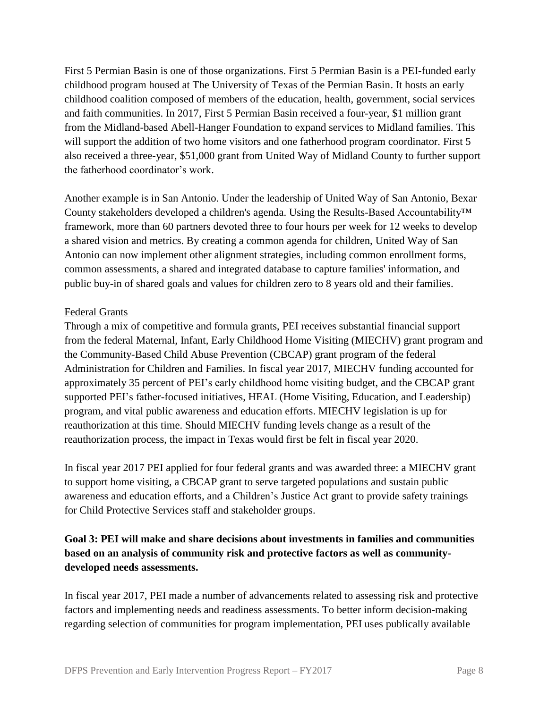First 5 Permian Basin is one of those organizations. First 5 Permian Basin is a PEI-funded early childhood program housed at The University of Texas of the Permian Basin. It hosts an early childhood coalition composed of members of the education, health, government, social services and faith communities. In 2017, First 5 Permian Basin received a four-year, \$1 million grant from the Midland-based Abell-Hanger Foundation to expand services to Midland families. This will support the addition of two home visitors and one fatherhood program coordinator. First 5 also received a three-year, \$51,000 grant from United Way of Midland County to further support the fatherhood coordinator's work.

Another example is in San Antonio. Under the leadership of United Way of San Antonio, Bexar County stakeholders developed a children's agenda. Using the Results-Based Accountability™ framework, more than 60 partners devoted three to four hours per week for 12 weeks to develop a shared vision and metrics. By creating a common agenda for children, United Way of San Antonio can now implement other alignment strategies, including common enrollment forms, common assessments, a shared and integrated database to capture families' information, and public buy-in of shared goals and values for children zero to 8 years old and their families.

#### Federal Grants

Through a mix of competitive and formula grants, PEI receives substantial financial support from the federal Maternal, Infant, Early Childhood Home Visiting (MIECHV) grant program and the Community-Based Child Abuse Prevention (CBCAP) grant program of the federal Administration for Children and Families. In fiscal year 2017, MIECHV funding accounted for approximately 35 percent of PEI's early childhood home visiting budget, and the CBCAP grant supported PEI's father-focused initiatives, HEAL (Home Visiting, Education, and Leadership) program, and vital public awareness and education efforts. MIECHV legislation is up for reauthorization at this time. Should MIECHV funding levels change as a result of the reauthorization process, the impact in Texas would first be felt in fiscal year 2020.

In fiscal year 2017 PEI applied for four federal grants and was awarded three: a MIECHV grant to support home visiting, a CBCAP grant to serve targeted populations and sustain public awareness and education efforts, and a Children's Justice Act grant to provide safety trainings for Child Protective Services staff and stakeholder groups.

# **Goal 3: PEI will make and share decisions about investments in families and communities based on an analysis of community risk and protective factors as well as communitydeveloped needs assessments.**

In fiscal year 2017, PEI made a number of advancements related to assessing risk and protective factors and implementing needs and readiness assessments. To better inform decision-making regarding selection of communities for program implementation, PEI uses publically available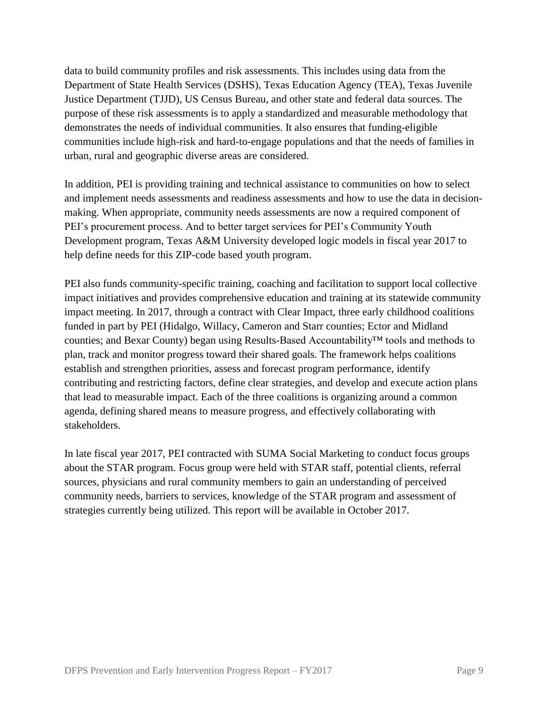data to build community profiles and risk assessments. This includes using data from the Department of State Health Services (DSHS), Texas Education Agency (TEA), Texas Juvenile Justice Department (TJJD), US Census Bureau, and other state and federal data sources. The purpose of these risk assessments is to apply a standardized and measurable methodology that demonstrates the needs of individual communities. It also ensures that funding-eligible communities include high-risk and hard-to-engage populations and that the needs of families in urban, rural and geographic diverse areas are considered.

In addition, PEI is providing training and technical assistance to communities on how to select and implement needs assessments and readiness assessments and how to use the data in decisionmaking. When appropriate, community needs assessments are now a required component of PEI's procurement process. And to better target services for PEI's Community Youth Development program, Texas A&M University developed logic models in fiscal year 2017 to help define needs for this ZIP-code based youth program.

PEI also funds community-specific training, coaching and facilitation to support local collective impact initiatives and provides comprehensive education and training at its statewide community impact meeting. In 2017, through a contract with Clear Impact, three early childhood coalitions funded in part by PEI (Hidalgo, Willacy, Cameron and Starr counties; Ector and Midland counties; and Bexar County) began using Results-Based Accountability™ tools and methods to plan, track and monitor progress toward their shared goals. The framework helps coalitions establish and strengthen priorities, assess and forecast program performance, identify contributing and restricting factors, define clear strategies, and develop and execute action plans that lead to measurable impact. Each of the three coalitions is organizing around a common agenda, defining shared means to measure progress, and effectively collaborating with stakeholders.

In late fiscal year 2017, PEI contracted with SUMA Social Marketing to conduct focus groups about the STAR program. Focus group were held with STAR staff, potential clients, referral sources, physicians and rural community members to gain an understanding of perceived community needs, barriers to services, knowledge of the STAR program and assessment of strategies currently being utilized. This report will be available in October 2017.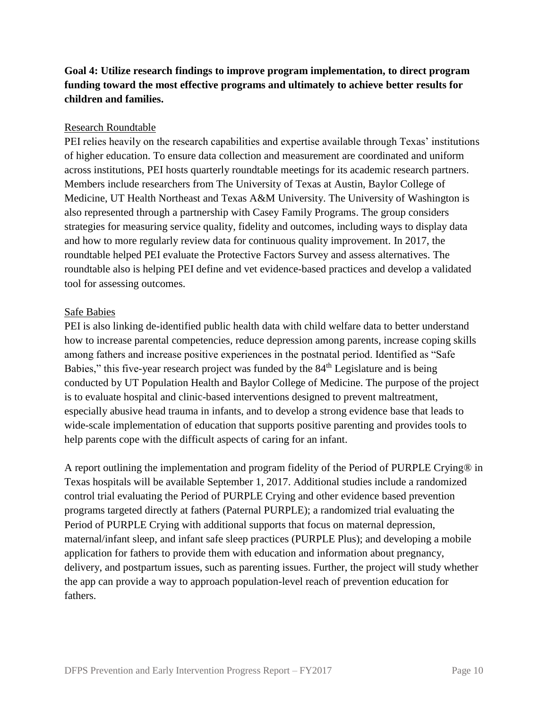# **Goal 4: Utilize research findings to improve program implementation, to direct program funding toward the most effective programs and ultimately to achieve better results for children and families.**

#### Research Roundtable

PEI relies heavily on the research capabilities and expertise available through Texas' institutions of higher education. To ensure data collection and measurement are coordinated and uniform across institutions, PEI hosts quarterly roundtable meetings for its academic research partners. Members include researchers from The University of Texas at Austin, Baylor College of Medicine, UT Health Northeast and Texas A&M University. The University of Washington is also represented through a partnership with Casey Family Programs. The group considers strategies for measuring service quality, fidelity and outcomes, including ways to display data and how to more regularly review data for continuous quality improvement. In 2017, the roundtable helped PEI evaluate the Protective Factors Survey and assess alternatives. The roundtable also is helping PEI define and vet evidence-based practices and develop a validated tool for assessing outcomes.

#### Safe Babies

PEI is also linking de-identified public health data with child welfare data to better understand how to increase parental competencies, reduce depression among parents, increase coping skills among fathers and increase positive experiences in the postnatal period. Identified as "Safe Babies," this five-year research project was funded by the 84<sup>th</sup> Legislature and is being conducted by UT Population Health and Baylor College of Medicine. The purpose of the project is to evaluate hospital and clinic-based interventions designed to prevent maltreatment, especially abusive head trauma in infants, and to develop a strong evidence base that leads to wide-scale implementation of education that supports positive parenting and provides tools to help parents cope with the difficult aspects of caring for an infant.

A report outlining the implementation and program fidelity of the Period of PURPLE Crying® in Texas hospitals will be available September 1, 2017. Additional studies include a randomized control trial evaluating the Period of PURPLE Crying and other evidence based prevention programs targeted directly at fathers (Paternal PURPLE); a randomized trial evaluating the Period of PURPLE Crying with additional supports that focus on maternal depression, maternal/infant sleep, and infant safe sleep practices (PURPLE Plus); and developing a mobile application for fathers to provide them with education and information about pregnancy, delivery, and postpartum issues, such as parenting issues. Further, the project will study whether the app can provide a way to approach population-level reach of prevention education for fathers.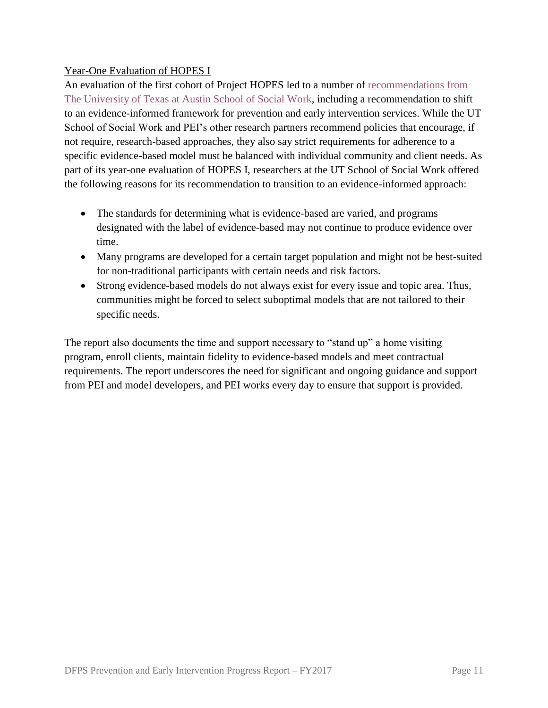# Year-One Evaluation of HOPES I

An evaluation of the first cohort of Project HOPES led to a number of [recommendations from](https://txicfw.socialwork.utexas.edu/wp-content/uploads/2017/01/HOPES_FY15_Evaluation_Report_FINAL_Appendices.pdf)  [The University of Texas at Austin School of Social Work,](https://txicfw.socialwork.utexas.edu/wp-content/uploads/2017/01/HOPES_FY15_Evaluation_Report_FINAL_Appendices.pdf) including a recommendation to shift to an evidence-informed framework for prevention and early intervention services. While the UT School of Social Work and PEI's other research partners recommend policies that encourage, if not require, research-based approaches, they also say strict requirements for adherence to a specific evidence-based model must be balanced with individual community and client needs. As part of its year-one evaluation of HOPES I, researchers at the UT School of Social Work offered the following reasons for its recommendation to transition to an evidence-informed approach:

- The standards for determining what is evidence-based are varied, and programs designated with the label of evidence-based may not continue to produce evidence over time.
- Many programs are developed for a certain target population and might not be best-suited for non-traditional participants with certain needs and risk factors.
- Strong evidence-based models do not always exist for every issue and topic area. Thus, communities might be forced to select suboptimal models that are not tailored to their specific needs.

The report also documents the time and support necessary to "stand up" a home visiting program, enroll clients, maintain fidelity to evidence-based models and meet contractual requirements. The report underscores the need for significant and ongoing guidance and support from PEI and model developers, and PEI works every day to ensure that support is provided.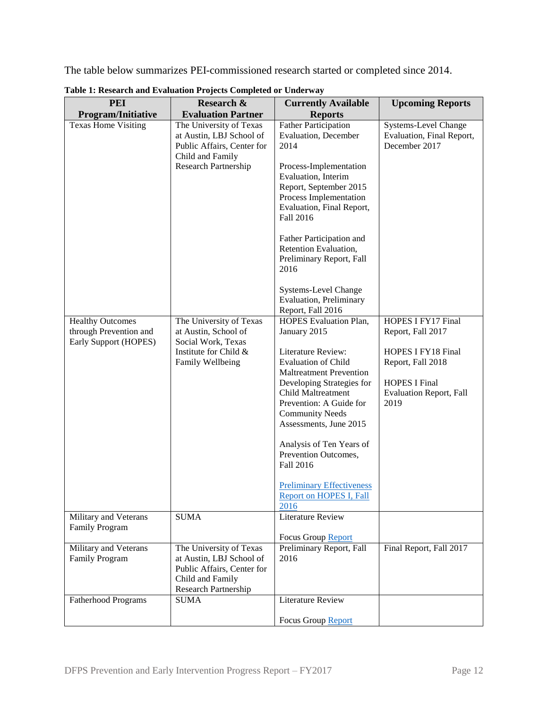The table below summarizes PEI-commissioned research started or completed since 2014.

| <b>PEI</b>                                                                 | <b>Research &amp;</b>                                                                                                         | <b>Currently Available</b>                                                                                                                                                                                                                                                                                                                                                                             | <b>Upcoming Reports</b>                                                                                                                              |
|----------------------------------------------------------------------------|-------------------------------------------------------------------------------------------------------------------------------|--------------------------------------------------------------------------------------------------------------------------------------------------------------------------------------------------------------------------------------------------------------------------------------------------------------------------------------------------------------------------------------------------------|------------------------------------------------------------------------------------------------------------------------------------------------------|
|                                                                            | <b>Evaluation Partner</b>                                                                                                     | <b>Reports</b>                                                                                                                                                                                                                                                                                                                                                                                         |                                                                                                                                                      |
| <b>Program/Initiative</b><br><b>Texas Home Visiting</b>                    | The University of Texas<br>at Austin, LBJ School of<br>Public Affairs, Center for<br>Child and Family<br>Research Partnership | <b>Father Participation</b><br><b>Evaluation</b> , December<br>2014<br>Process-Implementation<br>Evaluation, Interim<br>Report, September 2015<br>Process Implementation<br>Evaluation, Final Report,<br>Fall 2016<br>Father Participation and<br>Retention Evaluation,<br>Preliminary Report, Fall<br>2016<br><b>Systems-Level Change</b><br><b>Evaluation</b> , Preliminary                          | <b>Systems-Level Change</b><br>Evaluation, Final Report,<br>December 2017                                                                            |
|                                                                            |                                                                                                                               | Report, Fall 2016                                                                                                                                                                                                                                                                                                                                                                                      |                                                                                                                                                      |
| <b>Healthy Outcomes</b><br>through Prevention and<br>Early Support (HOPES) | The University of Texas<br>at Austin, School of<br>Social Work, Texas<br>Institute for Child &<br>Family Wellbeing            | HOPES Evaluation Plan,<br>January 2015<br>Literature Review:<br><b>Evaluation of Child</b><br><b>Maltreatment Prevention</b><br>Developing Strategies for<br>Child Maltreatment<br>Prevention: A Guide for<br><b>Community Needs</b><br>Assessments, June 2015<br>Analysis of Ten Years of<br>Prevention Outcomes,<br>Fall 2016<br><b>Preliminary Effectiveness</b><br>Report on HOPES I, Fall<br>2016 | HOPES I FY17 Final<br>Report, Fall 2017<br>HOPES I FY18 Final<br>Report, Fall 2018<br><b>HOPES I Final</b><br><b>Evaluation Report, Fall</b><br>2019 |
| Military and Veterans<br>Family Program                                    | <b>SUMA</b>                                                                                                                   | <b>Literature Review</b>                                                                                                                                                                                                                                                                                                                                                                               |                                                                                                                                                      |
| Military and Veterans<br>Family Program                                    | The University of Texas<br>at Austin, LBJ School of<br>Public Affairs, Center for<br>Child and Family<br>Research Partnership | Focus Group Report<br>Preliminary Report, Fall<br>2016                                                                                                                                                                                                                                                                                                                                                 | Final Report, Fall 2017                                                                                                                              |
| <b>Fatherhood Programs</b>                                                 | <b>SUMA</b>                                                                                                                   | <b>Literature Review</b>                                                                                                                                                                                                                                                                                                                                                                               |                                                                                                                                                      |
|                                                                            |                                                                                                                               | Focus Group Report                                                                                                                                                                                                                                                                                                                                                                                     |                                                                                                                                                      |

**Table 1: Research and Evaluation Projects Completed or Underway**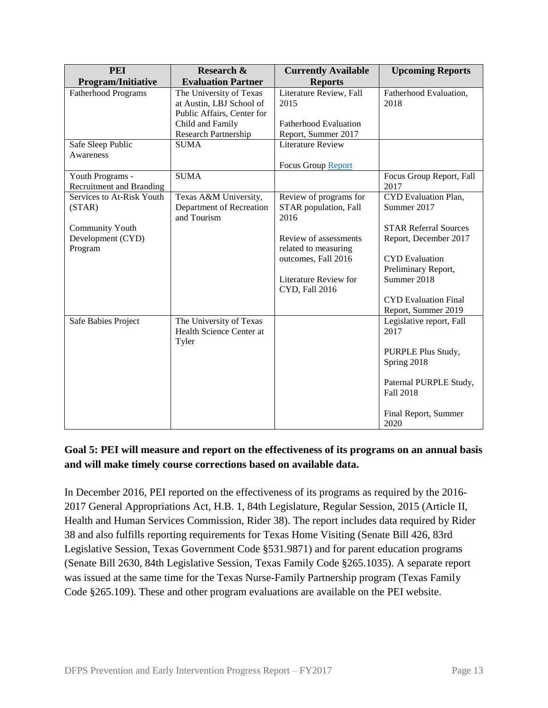| <b>PEI</b>                 | Research &                 | <b>Currently Available</b>   | <b>Upcoming Reports</b>      |
|----------------------------|----------------------------|------------------------------|------------------------------|
| Program/Initiative         | <b>Evaluation Partner</b>  | <b>Reports</b>               |                              |
| <b>Fatherhood Programs</b> | The University of Texas    | Literature Review, Fall      | Fatherhood Evaluation,       |
|                            | at Austin, LBJ School of   | 2015                         | 2018                         |
|                            | Public Affairs, Center for |                              |                              |
|                            | Child and Family           | <b>Fatherhood Evaluation</b> |                              |
|                            | Research Partnership       | Report, Summer 2017          |                              |
| Safe Sleep Public          | <b>SUMA</b>                | <b>Literature Review</b>     |                              |
| Awareness                  |                            |                              |                              |
|                            |                            | Focus Group Report           |                              |
| Youth Programs -           | <b>SUMA</b>                |                              | Focus Group Report, Fall     |
| Recruitment and Branding   |                            |                              | 2017                         |
| Services to At-Risk Youth  | Texas A&M University,      | Review of programs for       | CYD Evaluation Plan,         |
| (STAR)                     | Department of Recreation   | STAR population, Fall        | Summer 2017                  |
|                            | and Tourism                | 2016                         |                              |
| <b>Community Youth</b>     |                            |                              | <b>STAR Referral Sources</b> |
| Development (CYD)          |                            | Review of assessments        | Report, December 2017        |
| Program                    |                            | related to measuring         |                              |
|                            |                            | outcomes, Fall 2016          | <b>CYD</b> Evaluation        |
|                            |                            |                              | Preliminary Report,          |
|                            |                            | Literature Review for        | Summer 2018                  |
|                            |                            | CYD, Fall 2016               |                              |
|                            |                            |                              | <b>CYD</b> Evaluation Final  |
|                            |                            |                              | Report, Summer 2019          |
| Safe Babies Project        | The University of Texas    |                              | Legislative report, Fall     |
|                            | Health Science Center at   |                              | 2017                         |
|                            | Tyler                      |                              |                              |
|                            |                            |                              | PURPLE Plus Study,           |
|                            |                            |                              | Spring 2018                  |
|                            |                            |                              |                              |
|                            |                            |                              | Paternal PURPLE Study,       |
|                            |                            |                              | <b>Fall 2018</b>             |
|                            |                            |                              |                              |
|                            |                            |                              | Final Report, Summer         |
|                            |                            |                              | 2020                         |

# **Goal 5: PEI will measure and report on the effectiveness of its programs on an annual basis and will make timely course corrections based on available data.**

In December 2016, PEI reported on the effectiveness of its programs as required by the 2016- 2017 General Appropriations Act, H.B. 1, 84th Legislature, Regular Session, 2015 (Article II, Health and Human Services Commission, Rider 38). The report includes data required by Rider 38 and also fulfills reporting requirements for Texas Home Visiting (Senate Bill 426, 83rd Legislative Session, Texas Government Code §531.9871) and for parent education programs (Senate Bill 2630, 84th Legislative Session, Texas Family Code §265.1035). A separate report was issued at the same time for the Texas Nurse-Family Partnership program (Texas Family Code §265.109). These and other program evaluations are available on the PEI website.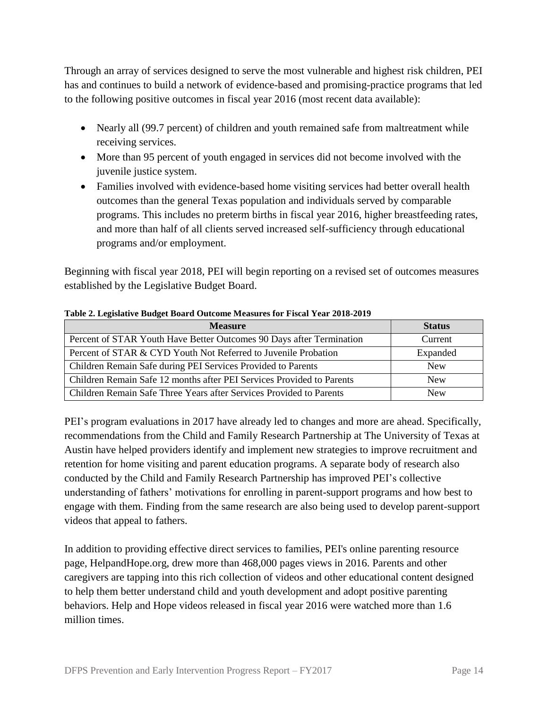Through an array of services designed to serve the most vulnerable and highest risk children, PEI has and continues to build a network of evidence-based and promising-practice programs that led to the following positive outcomes in fiscal year 2016 (most recent data available):

- Nearly all (99.7 percent) of children and youth remained safe from maltreatment while receiving services.
- More than 95 percent of youth engaged in services did not become involved with the juvenile justice system.
- Families involved with evidence-based home visiting services had better overall health outcomes than the general Texas population and individuals served by comparable programs. This includes no preterm births in fiscal year 2016, higher breastfeeding rates, and more than half of all clients served increased self-sufficiency through educational programs and/or employment.

Beginning with fiscal year 2018, PEI will begin reporting on a revised set of outcomes measures established by the Legislative Budget Board.

| <b>Measure</b>                                                        | <b>Status</b> |
|-----------------------------------------------------------------------|---------------|
| Percent of STAR Youth Have Better Outcomes 90 Days after Termination  | Current       |
| Percent of STAR & CYD Youth Not Referred to Juvenile Probation        | Expanded      |
| Children Remain Safe during PEI Services Provided to Parents          | <b>New</b>    |
| Children Remain Safe 12 months after PEI Services Provided to Parents | <b>New</b>    |
| Children Remain Safe Three Years after Services Provided to Parents   | <b>New</b>    |

#### **Table 2. Legislative Budget Board Outcome Measures for Fiscal Year 2018-2019**

PEI's program evaluations in 2017 have already led to changes and more are ahead. Specifically, recommendations from the Child and Family Research Partnership at The University of Texas at Austin have helped providers identify and implement new strategies to improve recruitment and retention for home visiting and parent education programs. A separate body of research also conducted by the Child and Family Research Partnership has improved PEI's collective understanding of fathers' motivations for enrolling in parent-support programs and how best to engage with them. Finding from the same research are also being used to develop parent-support videos that appeal to fathers.

In addition to providing effective direct services to families, PEI's online parenting resource page, HelpandHope.org, drew more than 468,000 pages views in 2016. Parents and other caregivers are tapping into this rich collection of videos and other educational content designed to help them better understand child and youth development and adopt positive parenting behaviors. Help and Hope videos released in fiscal year 2016 were watched more than 1.6 million times.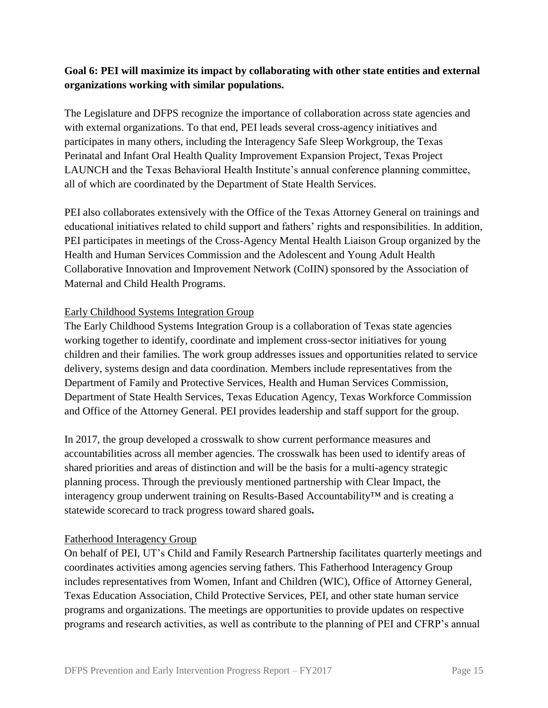# **Goal 6: PEI will maximize its impact by collaborating with other state entities and external organizations working with similar populations.**

The Legislature and DFPS recognize the importance of collaboration across state agencies and with external organizations. To that end, PEI leads several cross-agency initiatives and participates in many others, including the Interagency Safe Sleep Workgroup, the Texas Perinatal and Infant Oral Health Quality Improvement Expansion Project, Texas Project LAUNCH and the Texas Behavioral Health Institute's annual conference planning committee, all of which are coordinated by the Department of State Health Services.

PEI also collaborates extensively with the Office of the Texas Attorney General on trainings and educational initiatives related to child support and fathers' rights and responsibilities. In addition, PEI participates in meetings of the Cross-Agency Mental Health Liaison Group organized by the Health and Human Services Commission and the Adolescent and Young Adult Health Collaborative Innovation and Improvement Network (CoIIN) sponsored by the Association of Maternal and Child Health Programs.

#### Early Childhood Systems Integration Group

The Early Childhood Systems Integration Group is a collaboration of Texas state agencies working together to identify, coordinate and implement cross-sector initiatives for young children and their families. The work group addresses issues and opportunities related to service delivery, systems design and data coordination. Members include representatives from the Department of Family and Protective Services, Health and Human Services Commission, Department of State Health Services, Texas Education Agency, Texas Workforce Commission and Office of the Attorney General. PEI provides leadership and staff support for the group.

In 2017, the group developed a crosswalk to show current performance measures and accountabilities across all member agencies. The crosswalk has been used to identify areas of shared priorities and areas of distinction and will be the basis for a multi-agency strategic planning process. Through the previously mentioned partnership with Clear Impact, the interagency group underwent training on Results-Based Accountability™ and is creating a statewide scorecard to track progress toward shared goals**.**

#### Fatherhood Interagency Group

On behalf of PEI, UT's Child and Family Research Partnership facilitates quarterly meetings and coordinates activities among agencies serving fathers. This Fatherhood Interagency Group includes representatives from Women, Infant and Children (WIC), Office of Attorney General, Texas Education Association, Child Protective Services, PEI, and other state human service programs and organizations. The meetings are opportunities to provide updates on respective programs and research activities, as well as contribute to the planning of PEI and CFRP's annual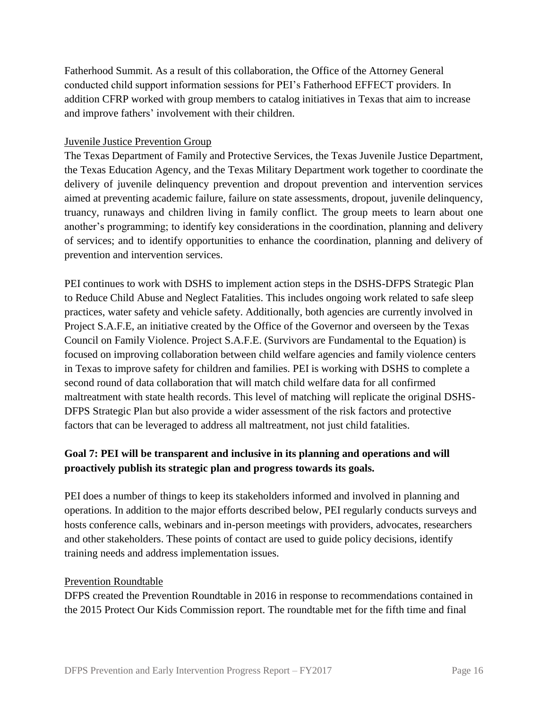Fatherhood Summit. As a result of this collaboration, the Office of the Attorney General conducted child support information sessions for PEI's Fatherhood EFFECT providers. In addition CFRP worked with group members to catalog initiatives in Texas that aim to increase and improve fathers' involvement with their children.

#### Juvenile Justice Prevention Group

The Texas Department of Family and Protective Services, the Texas Juvenile Justice Department, the Texas Education Agency, and the Texas Military Department work together to coordinate the delivery of juvenile delinquency prevention and dropout prevention and intervention services aimed at preventing academic failure, failure on state assessments, dropout, juvenile delinquency, truancy, runaways and children living in family conflict. The group meets to learn about one another's programming; to identify key considerations in the coordination, planning and delivery of services; and to identify opportunities to enhance the coordination, planning and delivery of prevention and intervention services.

PEI continues to work with DSHS to implement action steps in the DSHS-DFPS Strategic Plan to Reduce Child Abuse and Neglect Fatalities. This includes ongoing work related to safe sleep practices, water safety and vehicle safety. Additionally, both agencies are currently involved in Project S.A.F.E, an initiative created by the Office of the Governor and overseen by the Texas Council on Family Violence. Project S.A.F.E. (Survivors are Fundamental to the Equation) is focused on improving collaboration between child welfare agencies and family violence centers in Texas to improve safety for children and families. PEI is working with DSHS to complete a second round of data collaboration that will match child welfare data for all confirmed maltreatment with state health records. This level of matching will replicate the original DSHS-DFPS Strategic Plan but also provide a wider assessment of the risk factors and protective factors that can be leveraged to address all maltreatment, not just child fatalities.

# **Goal 7: PEI will be transparent and inclusive in its planning and operations and will proactively publish its strategic plan and progress towards its goals.**

PEI does a number of things to keep its stakeholders informed and involved in planning and operations. In addition to the major efforts described below, PEI regularly conducts surveys and hosts conference calls, webinars and in-person meetings with providers, advocates, researchers and other stakeholders. These points of contact are used to guide policy decisions, identify training needs and address implementation issues.

#### Prevention Roundtable

DFPS created the Prevention Roundtable in 2016 in response to recommendations contained in the 2015 Protect Our Kids Commission report. The roundtable met for the fifth time and final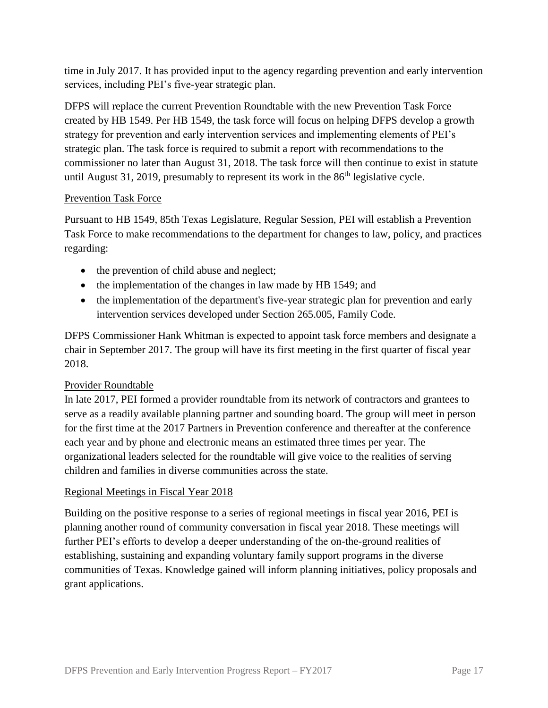time in July 2017. It has provided input to the agency regarding prevention and early intervention services, including PEI's five-year strategic plan.

DFPS will replace the current Prevention Roundtable with the new Prevention Task Force created by HB 1549. Per HB 1549, the task force will focus on helping DFPS develop a growth strategy for prevention and early intervention services and implementing elements of PEI's strategic plan. The task force is required to submit a report with recommendations to the commissioner no later than August 31, 2018. The task force will then continue to exist in statute until August 31, 2019, presumably to represent its work in the  $86<sup>th</sup>$  legislative cycle.

#### Prevention Task Force

Pursuant to HB 1549, 85th Texas Legislature, Regular Session, PEI will establish a Prevention Task Force to make recommendations to the department for changes to law, policy, and practices regarding:

- the prevention of child abuse and neglect;
- the implementation of the changes in law made by HB 1549; and
- the implementation of the department's five-year strategic plan for prevention and early intervention services developed under Section 265.005, Family Code.

DFPS Commissioner Hank Whitman is expected to appoint task force members and designate a chair in September 2017. The group will have its first meeting in the first quarter of fiscal year 2018.

#### Provider Roundtable

In late 2017, PEI formed a provider roundtable from its network of contractors and grantees to serve as a readily available planning partner and sounding board. The group will meet in person for the first time at the 2017 Partners in Prevention conference and thereafter at the conference each year and by phone and electronic means an estimated three times per year. The organizational leaders selected for the roundtable will give voice to the realities of serving children and families in diverse communities across the state.

#### Regional Meetings in Fiscal Year 2018

Building on the positive response to a series of regional meetings in fiscal year 2016, PEI is planning another round of community conversation in fiscal year 2018. These meetings will further PEI's efforts to develop a deeper understanding of the on-the-ground realities of establishing, sustaining and expanding voluntary family support programs in the diverse communities of Texas. Knowledge gained will inform planning initiatives, policy proposals and grant applications.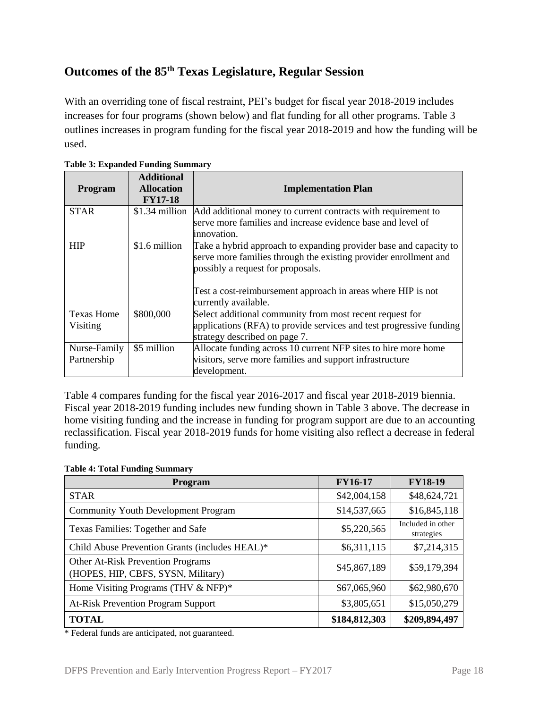# **Outcomes of the 85th Texas Legislature, Regular Session**

With an overriding tone of fiscal restraint, PEI's budget for fiscal year 2018-2019 includes increases for four programs (shown below) and flat funding for all other programs. Table 3 outlines increases in program funding for the fiscal year 2018-2019 and how the funding will be used.

| <b>Program</b>                | <b>Additional</b><br><b>Allocation</b><br><b>FY17-18</b> | <b>Implementation Plan</b>                                                                                                                                                                                                                                         |
|-------------------------------|----------------------------------------------------------|--------------------------------------------------------------------------------------------------------------------------------------------------------------------------------------------------------------------------------------------------------------------|
| <b>STAR</b>                   | $$1.34$ million                                          | Add additional money to current contracts with requirement to<br>serve more families and increase evidence base and level of<br>linnovation.                                                                                                                       |
| <b>HIP</b>                    | \$1.6 million                                            | Take a hybrid approach to expanding provider base and capacity to<br>serve more families through the existing provider enrollment and<br>possibly a request for proposals.<br>Test a cost-reimbursement approach in areas where HIP is not<br>currently available. |
| <b>Texas Home</b><br>Visiting | \$800,000                                                | Select additional community from most recent request for<br>applications (RFA) to provide services and test progressive funding<br>strategy described on page 7.                                                                                                   |
| Nurse-Family<br>Partnership   | \$5 million                                              | Allocate funding across 10 current NFP sites to hire more home<br>visitors, serve more families and support infrastructure<br>development.                                                                                                                         |

**Table 3: Expanded Funding Summary**

Table 4 compares funding for the fiscal year 2016-2017 and fiscal year 2018-2019 biennia. Fiscal year 2018-2019 funding includes new funding shown in Table 3 above. The decrease in home visiting funding and the increase in funding for program support are due to an accounting reclassification. Fiscal year 2018-2019 funds for home visiting also reflect a decrease in federal funding.

|  |  |  | <b>Table 4: Total Funding Summary</b> |
|--|--|--|---------------------------------------|
|--|--|--|---------------------------------------|

| <b>Program</b>                                                          | <b>FY16-17</b> | <b>FY18-19</b>                  |
|-------------------------------------------------------------------------|----------------|---------------------------------|
| <b>STAR</b>                                                             | \$42,004,158   | \$48,624,721                    |
| <b>Community Youth Development Program</b>                              | \$14,537,665   | \$16,845,118                    |
| Texas Families: Together and Safe                                       | \$5,220,565    | Included in other<br>strategies |
| Child Abuse Prevention Grants (includes HEAL)*                          | \$6,311,115    | \$7,214,315                     |
| Other At-Risk Prevention Programs<br>(HOPES, HIP, CBFS, SYSN, Military) | \$45,867,189   | \$59,179,394                    |
| Home Visiting Programs (THV & NFP)*                                     | \$67,065,960   | \$62,980,670                    |
| <b>At-Risk Prevention Program Support</b>                               | \$3,805,651    | \$15,050,279                    |
| <b>TOTAL</b>                                                            | \$184,812,303  | \$209,894,497                   |

\* Federal funds are anticipated, not guaranteed.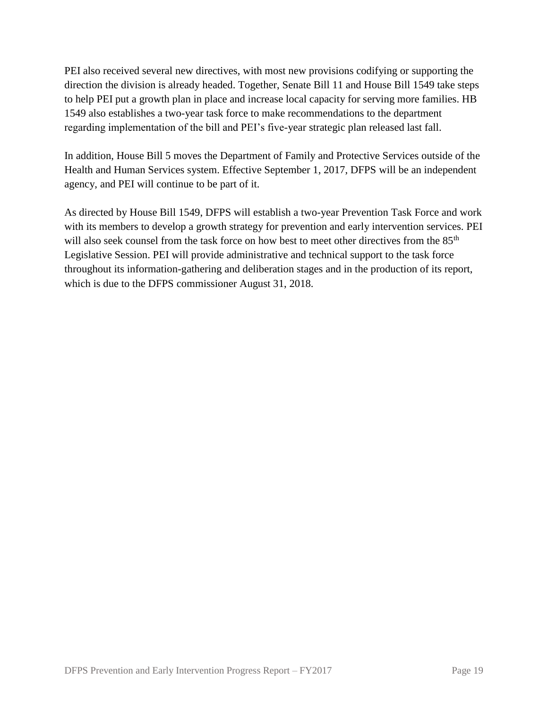PEI also received several new directives, with most new provisions codifying or supporting the direction the division is already headed. Together, Senate Bill 11 and House Bill 1549 take steps to help PEI put a growth plan in place and increase local capacity for serving more families. HB 1549 also establishes a two-year task force to make recommendations to the department regarding implementation of the bill and PEI's five-year strategic plan released last fall.

In addition, House Bill 5 moves the Department of Family and Protective Services outside of the Health and Human Services system. Effective September 1, 2017, DFPS will be an independent agency, and PEI will continue to be part of it.

As directed by House Bill 1549, DFPS will establish a two-year Prevention Task Force and work with its members to develop a growth strategy for prevention and early intervention services. PEI will also seek counsel from the task force on how best to meet other directives from the 85<sup>th</sup> Legislative Session. PEI will provide administrative and technical support to the task force throughout its information-gathering and deliberation stages and in the production of its report, which is due to the DFPS commissioner August 31, 2018.